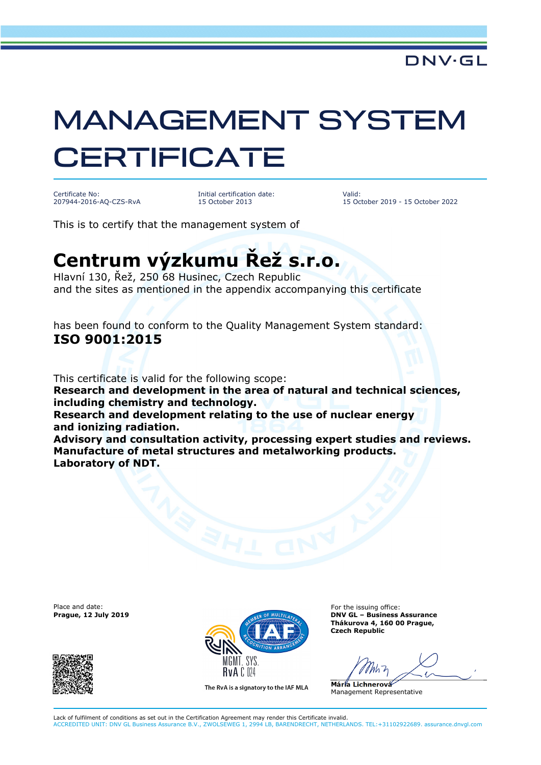## MANAGEMENT SYSTEM **CERTIFICATE**

Certificate No: 207944-2016-AQ-CZS-RvA Initial certification date: 15 October 2013

Valid: 15 October 2019 - 15 October 2022

This is to certify that the management system of

## **Centrum výzkumu Řež s.r.o.**

Hlavní 130, Řež, 250 68 Husinec, Czech Republic and the sites as mentioned in the appendix accompanying this certificate

has been found to conform to the Quality Management System standard: **ISO 9001:2015** 

This certificate is valid for the following scope:

**Research and development in the area of natural and technical sciences, including chemistry and technology.** 

**Research and development relating to the use of nuclear energy and ionizing radiation.** 

**Advisory and consultation activity, processing expert studies and reviews. Manufacture of metal structures and metalworking products. Laboratory of NDT.**

Place and date:





The RvA is a signatory to the IAF MLA

For the issuing office: **Thákurova 4, 160 00 Prague, Czech Republic** 

**Mária Lichnerová**  Management Representative

Lack of fulfilment of conditions as set out in the Certification Agreement may render this Certificate invalid. ACCREDITED UNIT: DNV GL Business Assurance B.V., ZWOLSEWEG 1, 2994 LB, BARENDRECHT, NETHERLANDS. TEL:+31102922689. assurance.dnvgl.com